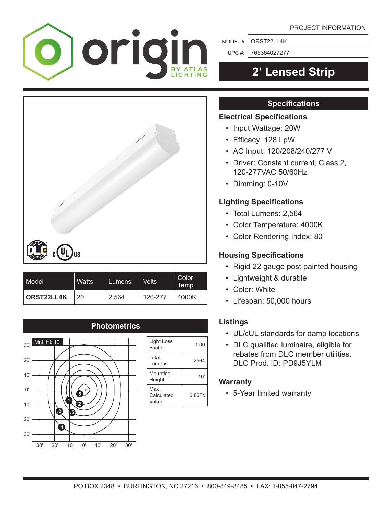

MODEL #: ORST22LL4K

UPC #:: 765364027277

# **2′ Lensed Strip**

## **Specifications**

### **Electrical Specifications**

- Input Wattage: 20W
- • Efficacy: 128 LpW
- AC Input: 120/208/240/277 V
- Driver: Constant current, Class 2, 120-277VAC 50/60Hz
- Dimming: 0-10V

## **Lighting Specifications**

- Total Lumens: 2,564
- Color Temperature: 4000K
- Color Rendering Index: 80

### **Housing Specifications**

- Rigid 22 gauge post painted housing
- Lightweight & durable
- Color: White
- Lifespan: 50,000 hours

### **Listings**

- UL/cUL standards for damp locations
- • DLC qualified luminaire, eligible for rebates from DLC member utilities. DLC Prod. ID: PD9J5YLM

### **Warranty**

 • 5-Year limited warranty

| <b>US</b><br>cl<br>VSTED |              |        |              |                       |
|--------------------------|--------------|--------|--------------|-----------------------|
| Model                    | <b>Watts</b> | Lumens | <b>Volts</b> | <b>Color</b><br>Temp. |
| ORST22LL4K               | 20           | 2.564  | 120-277      | 4000K                 |



| Light Loss<br>Factor        | 1.00   |
|-----------------------------|--------|
| Total<br>Lumens             | 2564   |
| Mounting<br>Height          | 10'    |
| Max.<br>Calculated<br>Value | 6.86Fc |